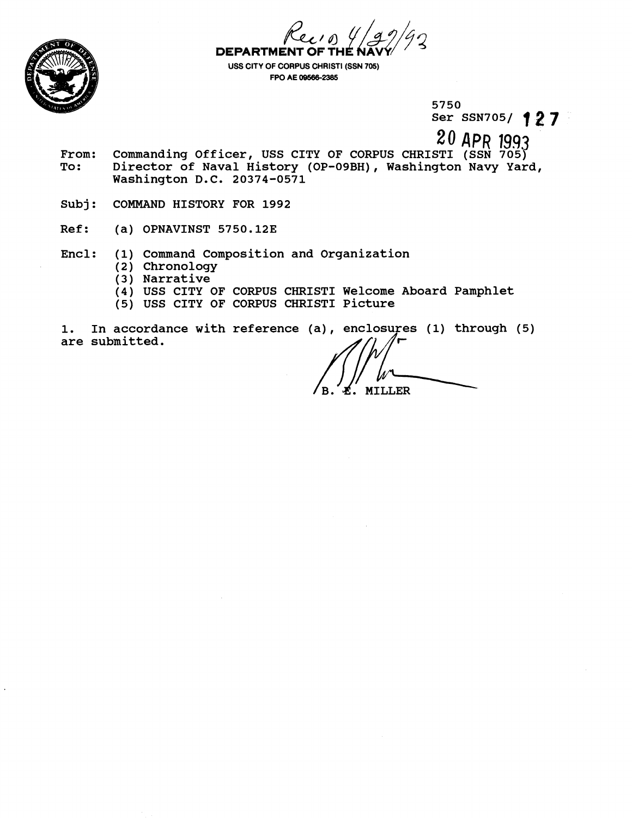

**DEPARTMENT &la OF TH** *fL5-z* 

**USS CITY OF CORPUS CHRIST1 (SSN 705) FPO AE 00588-23eS** 

> **5750 Ser SSN7051 1 2 7**

**20** APR 1999

- From: Commanding Officer, USS CITY OF CORPUS CHRISTI (SSN 705)<br>To: Director of Naval History (OP-09BH), Washington Navy Yar Director of Naval History (OP-09BH), Washington Navy Yard, **Washington D.C. 20374-0571**
- **Subj: COMMAND HISTORY FOR 1992**
- **Ref: (a) OPNAVINST 5750.123**
- **Encl: (1) Command Composition and Organization** 
	- **(2) Chronology**
	- **(3) Narrative**
	- **(4) USS CITY OF CORPUS CHRIST1 Welcome Aboard Pamphlet**
	- **(5) USS CITY OF CORPUS CHRIST1 Picture**

In accordance with reference (a), enclosures (1) through (5) 1. are submitted.

L. MILLER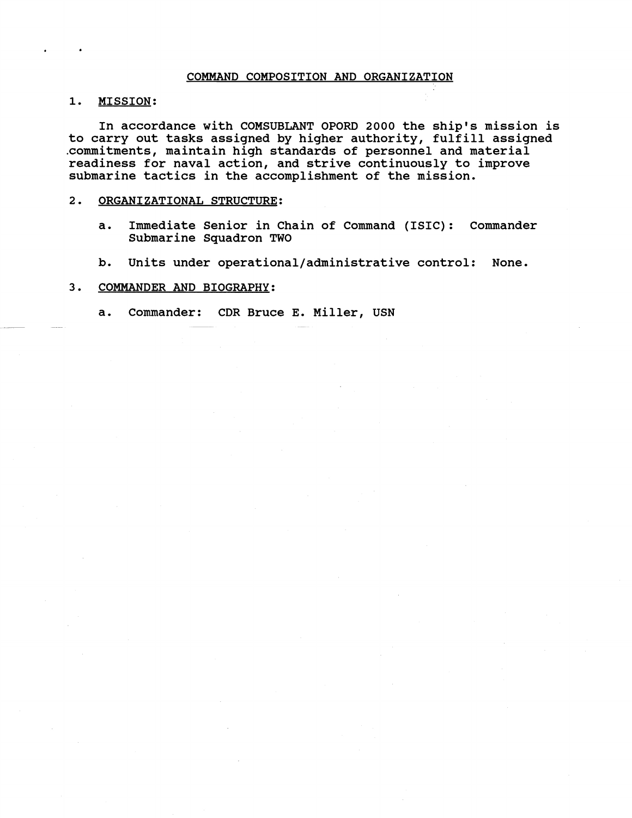# COMMAND COMPOSITION AND ORGANIZATION

1. MISSION:

In accordance with COMSUBLANT OPORD **2000** the ship's mission is to carry out tasks assigned by higher authority, fulfill assigned .commitments, maintain high standards of personnel and material readiness for naval action, and strive continuously to improve submarine tactics in the accomplishment of the mission.

# **2.** ORGANIZATIONAL STRUCTURE:

- a. Immediate Senior in Chain of Command (ISIC): Commander Submarine Squadron TWO
- b. Units under **operational/administrative** control: None.

# 3. COMMANDER AND BIOGRAPHY:

a. Commander: CDR Bruce E. Miller, USN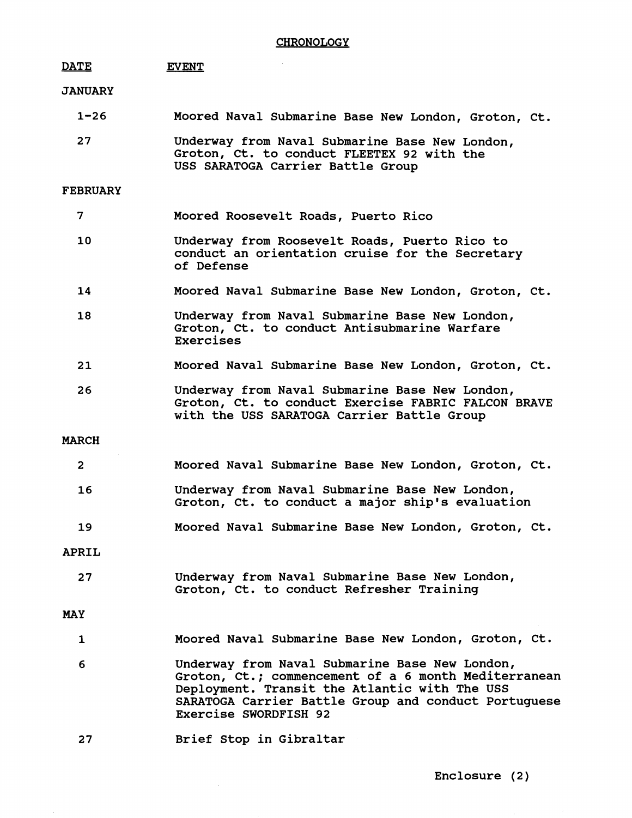#### **DATE EVENT**

# **JANUARY**

| 1–26 | Moored Naval Submarine Base New London, Groton, Ct.                                                                               |
|------|-----------------------------------------------------------------------------------------------------------------------------------|
| 27   | Underway from Naval Submarine Base New London,<br>Groton, Ct. to conduct FLEETEX 92 with the<br>USS SARATOGA Carrier Battle Group |

# **FEBRUARY**

- **7 Moored Roosevelt Roads, Puerto Rico**
- **10 Underway from Roosevelt Roads, Puerto Rico to conduct an orientation cruise for the Secretary of Defense**
- 14 **Moored Naval Submarine Base New London, Groton, Ct.**
- 18 **Underway from Naval Submarine Base New London, Groton, Ct. to conduct Antisubmarine Warfare Exercises**
- $21$ **Moored Naval Submarine Base New London, Groton, Ct.**
- 26 **Underway from Naval Submarine Base New London, Groton, Ct. to conduct Exercise FABRIC FALCON BRAVE with the USS SARATOGA Carrier Battle Group**

# **MARCH**

| $\overline{\mathbf{2}}$ | Moored Naval Submarine Base New London, Groton, Ct.                                                |
|-------------------------|----------------------------------------------------------------------------------------------------|
| 16                      | Underway from Naval Submarine Base New London,<br>Groton, Ct. to conduct a major ship's evaluation |
| 19                      | Moored Naval Submarine Base New London, Groton, Ct.                                                |
| ****                    |                                                                                                    |

# **APRIL**

**27 Underway from Naval Submarine Base New London, Groton, Ct. to conduct Refresher Training** 

**MAY** 

- **1 Moored Naval Submarine Base New London, Groton, Ct.**
- **6 Underway from Naval Submarine Base New London, Groton, Ct.; commencement of a 6 month Mediterranean Deployment. Transit the Atlantic with The USS SARATOGA Carrier Battle Group and conduct Portuguese Exercise SWORDFISH 92**
- $27$ **Brief Stop in Gibraltar**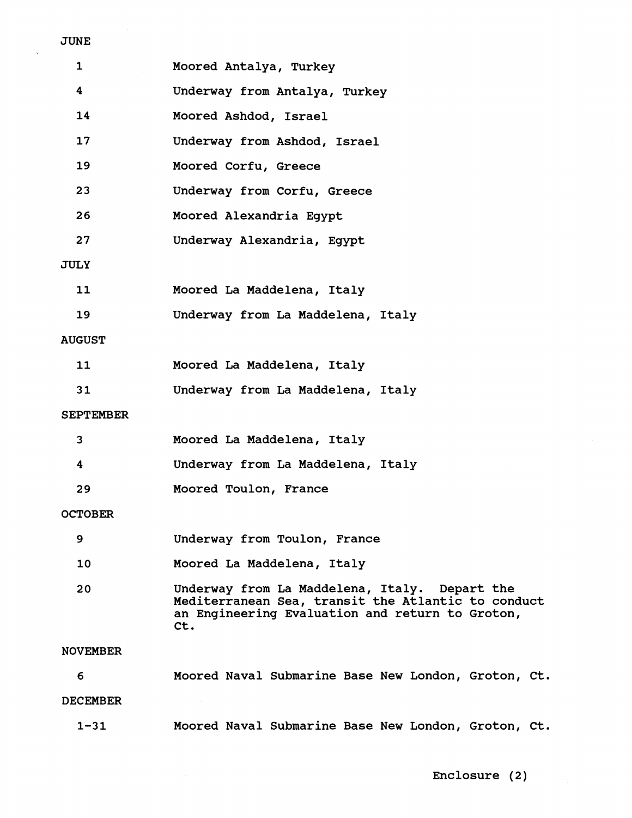| ч<br>N |
|--------|
|--------|

 $\ddot{\phantom{1}}$ 

| 1                | Moored Antalya, Turkey                                                                                                                                        |
|------------------|---------------------------------------------------------------------------------------------------------------------------------------------------------------|
| 4                | Underway from Antalya, Turkey                                                                                                                                 |
| 14               | Moored Ashdod, Israel                                                                                                                                         |
| 17               | Underway from Ashdod, Israel                                                                                                                                  |
| 19               | Moored Corfu, Greece                                                                                                                                          |
| 23               | Underway from Corfu, Greece                                                                                                                                   |
| 26               | Moored Alexandria Egypt                                                                                                                                       |
| 27               | Underway Alexandria, Egypt                                                                                                                                    |
| JULY             |                                                                                                                                                               |
| 11               | Moored La Maddelena, Italy                                                                                                                                    |
| 19               | Underway from La Maddelena, Italy                                                                                                                             |
| <b>AUGUST</b>    |                                                                                                                                                               |
| 11               | Moored La Maddelena, Italy                                                                                                                                    |
| 31               | Underway from La Maddelena, Italy                                                                                                                             |
| <b>SEPTEMBER</b> |                                                                                                                                                               |
| 3                | Moored La Maddelena, Italy                                                                                                                                    |
| 4                | Underway from La Maddelena, Italy                                                                                                                             |
| 29               | Moored Toulon, France                                                                                                                                         |
| <b>OCTOBER</b>   |                                                                                                                                                               |
| 9                | Underway from Toulon, France                                                                                                                                  |
| 10               | Moored La Maddelena, Italy                                                                                                                                    |
| 20               | Underway from La Maddelena, Italy. Depart the<br>Mediterranean Sea, transit the Atlantic to conduct<br>an Engineering Evaluation and return to Groton,<br>Ct. |
| <b>NOVEMBER</b>  |                                                                                                                                                               |
| 6                | Moored Naval Submarine Base New London, Groton, Ct.                                                                                                           |
| <b>DECEMBER</b>  |                                                                                                                                                               |
| $1 - 31$         | Moored Naval Submarine Base New London, Groton, Ct.                                                                                                           |

Enclosure (2)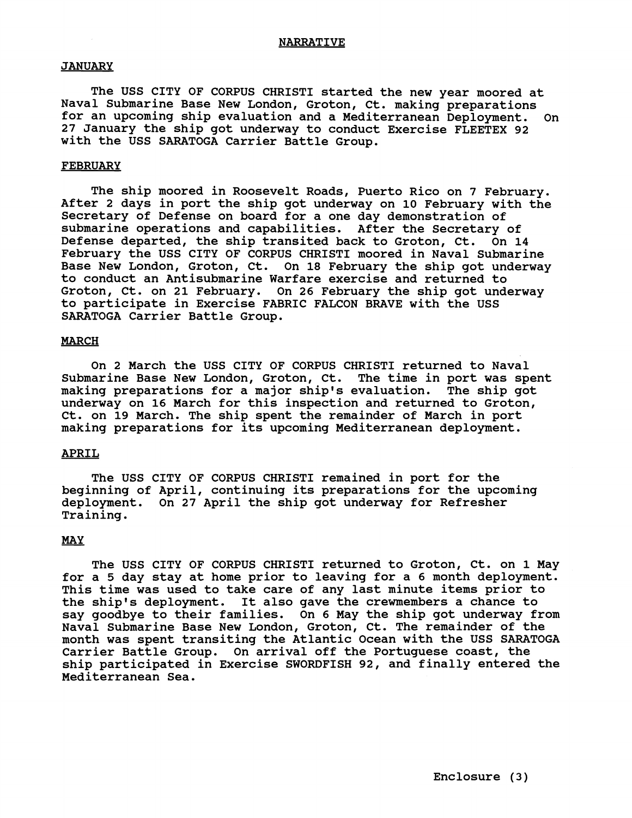# **JANUARY**

**The USS CITY OF CORPUS CHRIST1 started the new year moored at Naval Submarine Base New London, Groton, Ct. making preparations for an upcoming ship evaluation and a Mediterranean Deployment. On 27 January the ship got underway to conduct Exercise FLEETEX 92 with the USS SARATOGA Carrier Battle Group.** 

### **FEBRUARY**

**The ship moored in Roosevelt Roads, Puerto Rico on 7 February. After 2 days in port the ship got underway on 10 February with the Secretary of Defense on board for a one day demonstration of submarine operations and capabilities. After the Secretary of Defense departed, the ship transited back to Groton, Ct. On 14 February the USS CITY OF CORPUS CHRIST1 moored in Naval Submarine Base New London, Groton, Ct. On 18 February the ship got underway to conduct an Antisubmarine Warfare exercise and returned to Groton, Ct. on 21 February. On 26 February the ship got underway**  to participate in Exercise FABRIC FALCON BRAVE with the USS **SARATOGA Carrier Battle Group.** 

### **MARCH**

**On 2 March the USS CITY OF CORPUS CHRIST1 returned to Naval Submarine Base New London, Groton, Ct. The time in port was spent making preparations for a major ship's evaluation. The ship got underway on 16 March for this inspection and returned to Groton, Ct. on 19 March. The ship spent the remainder of March in port making preparations for its upcoming Mediterranean deployment.** 

# **APRIL**

**The USS CITY OF CORPUS CHRIST1 remained in port for the beginning of April, continuing its preparations for the upcoming deployment. On 27 April the ship got underway for Refresher Training.** 

# *MAY*

**The USS CITY OF CORPUS CHRIST1 returned to Groton, Ct. on 1 May for a 5 day stay at home prior to leaving for a 6 month deployment. This time was used to take care of any last minute items prior to the ship's deployment. It also gave the crewmembers a chance to say goodbye to their families. On 6 May the ship got underway from Naval Submarine Base New London, Groton, Ct. The remainder of the month was spent transiting the Atlantic Ocean with the USS SARATOGA Carrier Battle Group. On arrival off the Portuguese coast, the ship participated in Exercise SWORDFISH 92, and finally entered the Mediterranean Sea.**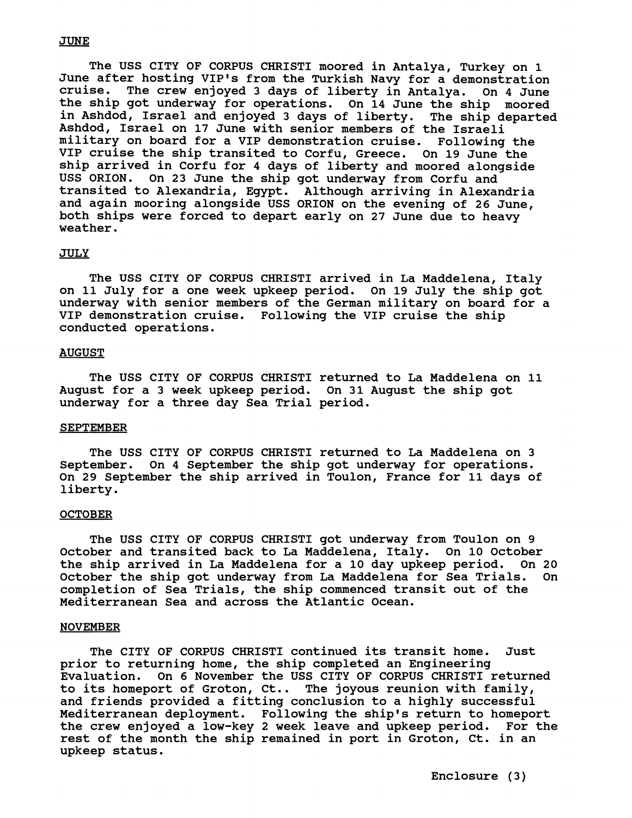# **JUNE**

The USS CITY OF CORPUS CHRIST1 moored in Antalya, Turkey on **1**  June after hosting VIP's from the Turkish Navy for a demonstration<br>cruise. The crew enjoved 3 days of liberty in Antalya. On 4 June The crew enjoyed 3 days of liberty in Antalya. On 4 June the ship got underway for operations. On **14** June the ship moored in Ashdod, Israel and enjoyed **3** days of liberty. The ship departed Ashdod, Israel on **17** June with senior members of the Israeli military on board for a VIP demonstration cruise. Following the VIP cruise the ship transited to Corfu, Greece. On **19** June the ship arrived in Corfu for 4 days of liberty and moored alongside USS ORION. On **23** June the ship got underway from Corfu and transited to Alexandria, Egypt. Although arriving in Alexandria and again mooring alongside USS ORION on the evening of **26** June, both ships were forced to depart early on **27** June due to heavy weather.

#### JULY

The USS CITY OF CORPUS CHRISTI arrived in La Maddelena, Italy on **11** July for a one week upkeep period. On **19** July the ship got underway with senior members of the German military on board for a VIP demonstration cruise. Following the VIP cruise the ship conducted operations.

## **AUGUST**

The USS CITY OF CORPUS CHRIST1 returned to La Maddelena on **11**  August for a **3** week upkeep period. On **31** August the ship got underway for a three day Sea Trial period.

#### SEPTEMBER

The USS CITY OF CORPUS CHRIST1 returned to La Maddelena on **3**  September. On **4** September the ship got underway for operations. On **29** September the ship arrived in Toulon, France for **11** days of liberty.

#### **OCTOBER**

The USS CITY OF CORPUS CHRIST1 got underway from Toulon on 9 October and transited back to La Maddelena, Italy. On **10** October the ship arrived in La Maddelena for a **10** day upkeep period. On **20**  October the ship got underway from La Maddelena for Sea Trials. On completion of Sea Trials, the ship commenced transit out of the Mediterranean Sea and across the Atlantic Ocean.

#### NOVEMBER

The CITY OF CORPUS CHRIST1 continued its transit home. Just prior to returning home, the ship completed an Engineering Evaluation. On 6 November the USS CITY OF CORPUS CHRIST1 returned to its homeport of Groton, Ct.. The joyous reunion with family, and friends provided a fitting conclusion to a highly successful Mediterranean deployment. Following the ship's return to homeport the crew enjoyed a low-key **2** week leave and upkeep period. For the rest of the month the ship remained in port in Groton, Ct. in an upkeep status.